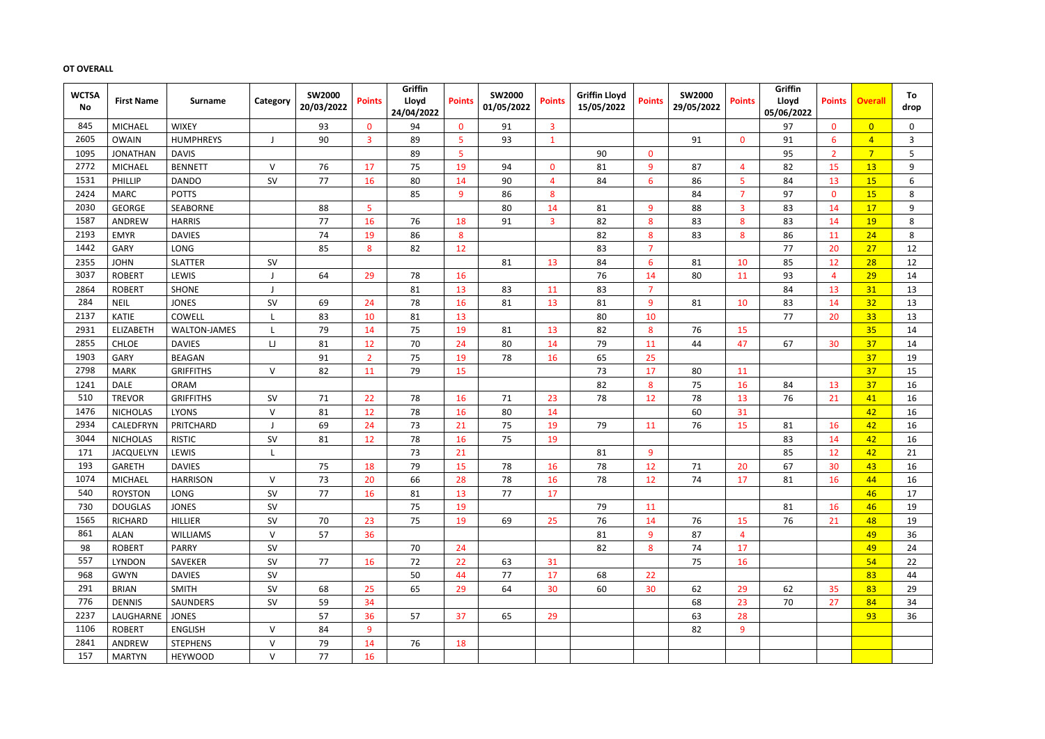# **OT OVERALL**

| <b>WCTSA</b><br><b>No</b> | <b>First Name</b> | <b>Surname</b>      | Category  | <b>SW2000</b><br>20/03/2022 | <b>Points</b>  | Griffin<br>Lloyd<br>24/04/2022 | <b>Points</b>    | <b>SW2000</b><br>01/05/2022 | <b>Points</b>  | <b>Griffin Lloyd</b><br>15/05/2022 | <b>Points</b>  | <b>SW2000</b><br>29/05/2022 | <b>Points</b>  | <b>Griffin</b><br>Lloyd<br>05/06/2022 | <b>Points</b>  | <b>Overall</b> | To<br>drop   |
|---------------------------|-------------------|---------------------|-----------|-----------------------------|----------------|--------------------------------|------------------|-----------------------------|----------------|------------------------------------|----------------|-----------------------------|----------------|---------------------------------------|----------------|----------------|--------------|
| 845                       | <b>MICHAEL</b>    | <b>WIXEY</b>        |           | 93                          | $\mathbf 0$    | 94                             | $\bf{0}$         | 91                          | $\overline{3}$ |                                    |                |                             |                | 97                                    | $\mathbf{0}$   | $\overline{0}$ | 0            |
| 2605                      | <b>OWAIN</b>      | <b>HUMPHREYS</b>    |           | 90                          | 3              | 89                             | 5                | 93                          | $\mathbf{1}$   |                                    |                | 91                          | $\mathbf{0}$   | 91                                    | 6              | $\overline{4}$ | $\mathbf{3}$ |
| 1095                      | <b>JONATHAN</b>   | <b>DAVIS</b>        |           |                             |                | 89                             | $\overline{5}$   |                             |                | 90                                 | $\mathbf{0}$   |                             |                | 95                                    | $\overline{2}$ | $\overline{7}$ | 5            |
| 2772                      | <b>MICHAEL</b>    | <b>BENNETT</b>      | $\vee$    | 76                          | 17             | 75                             | 19               | 94                          | $\mathbf{0}$   | 81                                 | 9              | 87                          | $\overline{4}$ | 82                                    | 15             | 13             | 9            |
| 1531                      | PHILLIP           | <b>DANDO</b>        | SV        | 77                          | 16             | 80                             | 14               | 90                          | $\overline{4}$ | 84                                 | 6              | 86                          | 5              | 84                                    | 13             | 15             | 6            |
| 2424                      | <b>MARC</b>       | <b>POTTS</b>        |           |                             |                | 85                             | 9                | 86                          | 8              |                                    |                | 84                          | 7              | 97                                    | $\mathbf{0}$   | 15             | 8            |
| 2030                      | <b>GEORGE</b>     | SEABORNE            |           | 88                          | 5              |                                |                  | 80                          | 14             | 81                                 | 9              | 88                          | 3              | 83                                    | 14             | 17             | 9            |
| 1587                      | ANDREW            | <b>HARRIS</b>       |           | 77                          | 16             | 76                             | 18               | 91                          | $\overline{3}$ | 82                                 | 8              | 83                          | 8              | 83                                    | 14             | <b>19</b>      | 8            |
| 2193                      | <b>EMYR</b>       | <b>DAVIES</b>       |           | 74                          | 19             | 86                             | $\boldsymbol{8}$ |                             |                | 82                                 | 8              | 83                          | 8              | 86                                    | 11             | 24             | 8            |
| 1442                      | GARY              | <b>LONG</b>         |           | 85                          | 8              | 82                             | 12               |                             |                | 83                                 | 7              |                             |                | 77                                    | 20             | 27             | 12           |
| 2355                      | <b>JOHN</b>       | <b>SLATTER</b>      | SV        |                             |                |                                |                  | 81                          | 13             | 84                                 | 6              | 81                          | 10             | 85                                    | 12             | 28             | 12           |
| 3037                      | <b>ROBERT</b>     | LEWIS               |           | 64                          | 29             | 78                             | 16               |                             |                | 76                                 | 14             | 80                          | 11             | 93                                    | $\overline{4}$ | 29             | 14           |
| 2864                      | <b>ROBERT</b>     | <b>SHONE</b>        |           |                             |                | 81                             | 13               | 83                          | 11             | 83                                 | $\overline{7}$ |                             |                | 84                                    | 13             | 31             | 13           |
| 284                       | <b>NEIL</b>       | <b>JONES</b>        | SV        | 69                          | 24             | 78                             | 16               | 81                          | 13             | 81                                 | 9              | 81                          | 10             | 83                                    | 14             | 32             | 13           |
| 2137                      | <b>KATIE</b>      | COWELL              | L         | 83                          | 10             | 81                             | 13               |                             |                | 80                                 | 10             |                             |                | 77                                    | 20             | 33             | 13           |
| 2931                      | <b>ELIZABETH</b>  | <b>WALTON-JAMES</b> |           | 79                          | 14             | 75                             | 19               | 81                          | 13             | 82                                 | 8              | 76                          | 15             |                                       |                | 35             | 14           |
| 2855                      | <b>CHLOE</b>      | <b>DAVIES</b>       | IJ        | 81                          | 12             | 70                             | 24               | 80                          | 14             | 79                                 | 11             | 44                          | 47             | 67                                    | 30             | 37             | 14           |
| 1903                      | GARY              | <b>BEAGAN</b>       |           | 91                          | $\overline{2}$ | 75                             | 19               | 78                          | 16             | 65                                 | 25             |                             |                |                                       |                | 37             | 19           |
| 2798                      | <b>MARK</b>       | <b>GRIFFITHS</b>    | $\vee$    | 82                          | 11             | 79                             | 15               |                             |                | 73                                 | 17             | 80                          | 11             |                                       |                | 37             | 15           |
| 1241                      | <b>DALE</b>       | <b>ORAM</b>         |           |                             |                |                                |                  |                             |                | 82                                 | 8              | 75                          | 16             | 84                                    | 13             | 37             | 16           |
| 510                       | <b>TREVOR</b>     | <b>GRIFFITHS</b>    | SV        | 71                          | 22             | 78                             | 16               | 71                          | 23             | 78                                 | 12             | 78                          | 13             | 76                                    | 21             | 41             | 16           |
| 1476                      | <b>NICHOLAS</b>   | <b>LYONS</b>        | $\vee$    | 81                          | 12             | 78                             | 16               | 80                          | 14             |                                    |                | 60                          | 31             |                                       |                | 42             | 16           |
| 2934                      | CALEDFRYN         | PRITCHARD           |           | 69                          | 24             | 73                             | 21               | 75                          | 19             | 79                                 | 11             | 76                          | 15             | 81                                    | 16             | 42             | 16           |
| 3044                      | <b>NICHOLAS</b>   | <b>RISTIC</b>       | SV        | 81                          | 12             | 78                             | 16               | 75                          | 19             |                                    |                |                             |                | 83                                    | 14             | 42             | 16           |
| 171                       | <b>JACQUELYN</b>  | LEWIS               | L         |                             |                | 73                             | 21               |                             |                | 81                                 | 9              |                             |                | 85                                    | 12             | 42             | 21           |
| 193                       | <b>GARETH</b>     | <b>DAVIES</b>       |           | 75                          | 18             | 79                             | 15               | 78                          | 16             | 78                                 | 12             | 71                          | 20             | 67                                    | 30             | 43             | 16           |
| 1074                      | <b>MICHAEL</b>    | <b>HARRISON</b>     | V         | 73                          | 20             | 66                             | 28               | 78                          | 16             | 78                                 | 12             | 74                          | 17             | 81                                    | 16             | 44             | 16           |
| 540                       | <b>ROYSTON</b>    | LONG                | <b>SV</b> | 77                          | 16             | 81                             | 13               | 77                          | 17             |                                    |                |                             |                |                                       |                | 46             | 17           |
| 730                       | <b>DOUGLAS</b>    | <b>JONES</b>        | SV        |                             |                | 75                             | 19               |                             |                | 79                                 | 11             |                             |                | 81                                    | 16             | 46             | 19           |
| 1565                      | <b>RICHARD</b>    | <b>HILLIER</b>      | SV        | 70                          | 23             | 75                             | 19               | 69                          | 25             | 76                                 | 14             | 76                          | 15             | 76                                    | 21             | 48             | 19           |
| 861                       | ALAN              | <b>WILLIAMS</b>     | $\vee$    | 57                          | 36             |                                |                  |                             |                | 81                                 | 9              | 87                          | $\overline{4}$ |                                       |                | 49             | 36           |
| 98                        | <b>ROBERT</b>     | PARRY               | SV        |                             |                | 70                             | 24               |                             |                | 82                                 | 8              | 74                          | 17             |                                       |                | 49             | 24           |
| 557                       | <b>LYNDON</b>     | SAVEKER             | SV        | 77                          | 16             | 72                             | 22               | 63                          | 31             |                                    |                | 75                          | 16             |                                       |                | 54             | 22           |
| 968                       | <b>GWYN</b>       | <b>DAVIES</b>       | SV        |                             |                | 50                             | 44               | 77                          | 17             | 68                                 | 22             |                             |                |                                       |                | 83             | 44           |
| 291                       | <b>BRIAN</b>      | <b>SMITH</b>        | SV        | 68                          | 25             | 65                             | 29               | 64                          | 30             | 60                                 | 30             | 62                          | 29             | 62                                    | 35             | 83             | 29           |
| 776                       | <b>DENNIS</b>     | SAUNDERS            | SV        | 59                          | 34             |                                |                  |                             |                |                                    |                | 68                          | 23             | 70                                    | 27             | 84             | 34           |
| 2237                      | LAUGHARNE         | <b>JONES</b>        |           | 57                          | 36             | 57                             | 37               | 65                          | 29             |                                    |                | 63                          | 28             |                                       |                | 93             | 36           |
| 1106                      | <b>ROBERT</b>     | <b>ENGLISH</b>      | $\vee$    | 84                          | 9              |                                |                  |                             |                |                                    |                | 82                          | 9              |                                       |                |                |              |
| 2841                      | ANDREW            | <b>STEPHENS</b>     | V         | 79                          | 14             | 76                             | 18               |                             |                |                                    |                |                             |                |                                       |                |                |              |
| 157                       | <b>MARTYN</b>     | <b>HEYWOOD</b>      | V         | 77                          | 16             |                                |                  |                             |                |                                    |                |                             |                |                                       |                |                |              |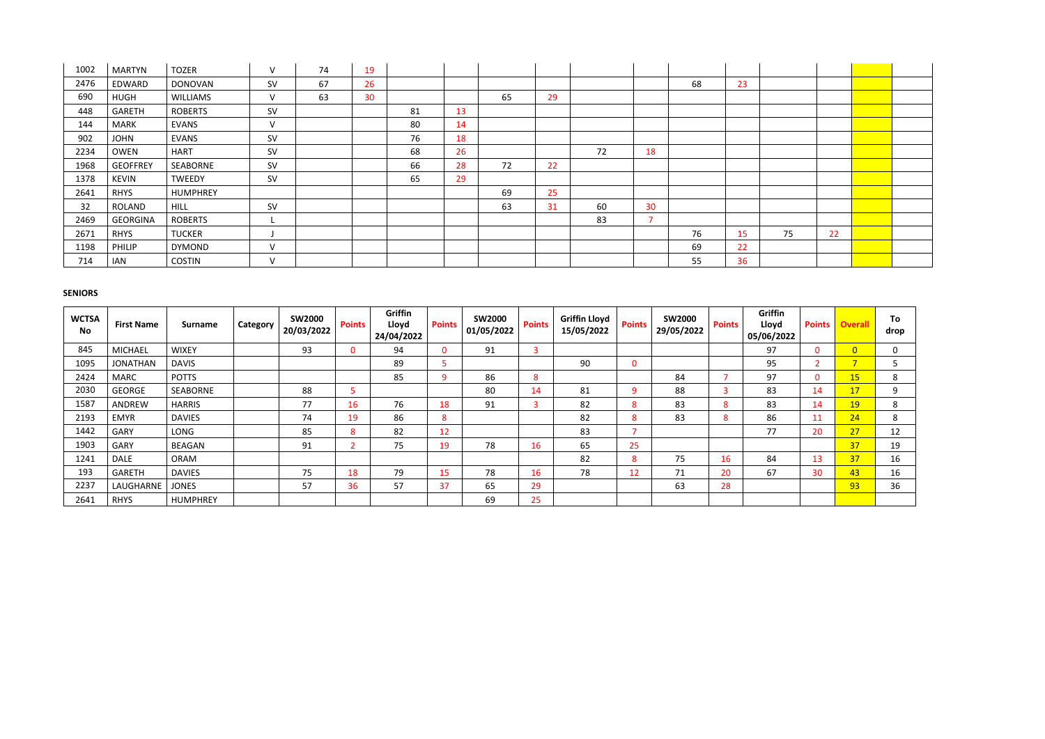| 1002 | <b>MARTYN</b>   | <b>TOZER</b>    | $\vee$    | 74 | 19 |    |    |    |    |    |                          |    |    |    |    |  |
|------|-----------------|-----------------|-----------|----|----|----|----|----|----|----|--------------------------|----|----|----|----|--|
| 2476 | EDWARD          | <b>DONOVAN</b>  | <b>SV</b> | 67 | 26 |    |    |    |    |    |                          | 68 | 23 |    |    |  |
| 690  | <b>HUGH</b>     | <b>WILLIAMS</b> | V         | 63 | 30 |    |    | 65 | 29 |    |                          |    |    |    |    |  |
| 448  | GARETH          | <b>ROBERTS</b>  | SV        |    |    | 81 | 13 |    |    |    |                          |    |    |    |    |  |
| 144  | <b>MARK</b>     | <b>EVANS</b>    | V         |    |    | 80 | 14 |    |    |    |                          |    |    |    |    |  |
| 902  | <b>JOHN</b>     | <b>EVANS</b>    | <b>SV</b> |    |    | 76 | 18 |    |    |    |                          |    |    |    |    |  |
| 2234 | <b>OWEN</b>     | <b>HART</b>     | SV        |    |    | 68 | 26 |    |    | 72 | 18                       |    |    |    |    |  |
| 1968 | <b>GEOFFREY</b> | SEABORNE        | <b>SV</b> |    |    | 66 | 28 | 72 | 22 |    |                          |    |    |    |    |  |
| 1378 | <b>KEVIN</b>    | TWEEDY          | SV        |    |    | 65 | 29 |    |    |    |                          |    |    |    |    |  |
| 2641 | <b>RHYS</b>     | <b>HUMPHREY</b> |           |    |    |    |    | 69 | 25 |    |                          |    |    |    |    |  |
| 32   | ROLAND          | <b>HILL</b>     | <b>SV</b> |    |    |    |    | 63 | 31 | 60 | 30                       |    |    |    |    |  |
| 2469 | <b>GEORGINA</b> | <b>ROBERTS</b>  |           |    |    |    |    |    |    | 83 | $\overline{\phantom{a}}$ |    |    |    |    |  |
| 2671 | <b>RHYS</b>     | <b>TUCKER</b>   |           |    |    |    |    |    |    |    |                          | 76 | 15 | 75 | 22 |  |
| 1198 | PHILIP          | <b>DYMOND</b>   | V         |    |    |    |    |    |    |    |                          | 69 | 22 |    |    |  |
| 714  | IAN             | <b>COSTIN</b>   | $\vee$    |    |    |    |    |    |    |    |                          | 55 | 36 |    |    |  |

# **SENIORS**

| <b>WCTSA</b><br><b>No</b> | <b>First Name</b> | <b>Surname</b>  | Category | <b>SW2000</b><br>20/03/2022 | <b>Points</b> | Griffin<br>Lloyd<br>24/04/2022 | <b>Points</b> | <b>SW2000</b><br>01/05/2022 | <b>Points</b> | <b>Griffin Lloyd</b><br>15/05/2022 | <b>Points</b> | <b>SW2000</b><br>29/05/2022 | <b>Points</b> | Griffin<br>Lloyd<br>05/06/2022 | <b>Points</b> | <b>Overall</b> | To<br>drop |
|---------------------------|-------------------|-----------------|----------|-----------------------------|---------------|--------------------------------|---------------|-----------------------------|---------------|------------------------------------|---------------|-----------------------------|---------------|--------------------------------|---------------|----------------|------------|
| 845                       | <b>MICHAEL</b>    | <b>WIXEY</b>    |          | 93                          |               | 94                             | $\Omega$      | 91                          |               |                                    |               |                             |               | 97                             | $\mathbf{0}$  | $\overline{0}$ | 0          |
| 1095                      | <b>JONATHAN</b>   | <b>DAVIS</b>    |          |                             |               | 89                             |               |                             |               | 90                                 | $\mathbf{0}$  |                             |               | 95                             |               | ⇁              |            |
| 2424                      | <b>MARC</b>       | <b>POTTS</b>    |          |                             |               | 85                             | a             | 86                          | 8             |                                    |               | 84                          |               | 97                             | $\mathbf{0}$  | 15             | 8          |
| 2030                      | <b>GEORGE</b>     | SEABORNE        |          | 88                          |               |                                |               | 80                          | 14            | 81                                 | q             | 88                          | 5             | 83                             | 14            | 17             | 9          |
| 1587                      | ANDREW            | <b>HARRIS</b>   |          | 77                          | 16            | 76                             | 18            | 91                          |               | 82                                 | 8             | 83                          | 8             | 83                             | 14            | 19             | 8          |
| 2193                      | <b>EMYR</b>       | <b>DAVIES</b>   |          | 74                          | 19            | 86                             | 8             |                             |               | 82                                 | 8             | 83                          | 8             | 86                             | 11            | 24             | 8          |
| 1442                      | GARY              | LONG            |          | 85                          | 8             | 82                             | 12            |                             |               | 83                                 |               |                             |               | 77                             | 20            | 27             | 12         |
| 1903                      | GARY              | BEAGAN          |          | 91                          |               | 75                             | 19            | 78                          | 16            | 65                                 | 25            |                             |               |                                |               | 37             | 19         |
| 1241                      | <b>DALE</b>       | <b>ORAM</b>     |          |                             |               |                                |               |                             |               | 82                                 | 8             | 75                          | 16            | 84                             | 13            | 37             | 16         |
| 193                       | <b>GARETH</b>     | <b>DAVIES</b>   |          | 75                          | 18            | 79                             | 15            | 78                          | 16            | 78                                 | 12            | 71                          | 20            | 67                             | 30            | 43             | 16         |
| 2237                      | LAUGHARNE         | <b>JONES</b>    |          | 57                          | 36            | 57                             | 37            | 65                          | 29            |                                    |               | 63                          | 28            |                                |               | 93             | 36         |
| 2641                      | <b>RHYS</b>       | <b>HUMPHREY</b> |          |                             |               |                                |               | 69                          | 25            |                                    |               |                             |               |                                |               |                |            |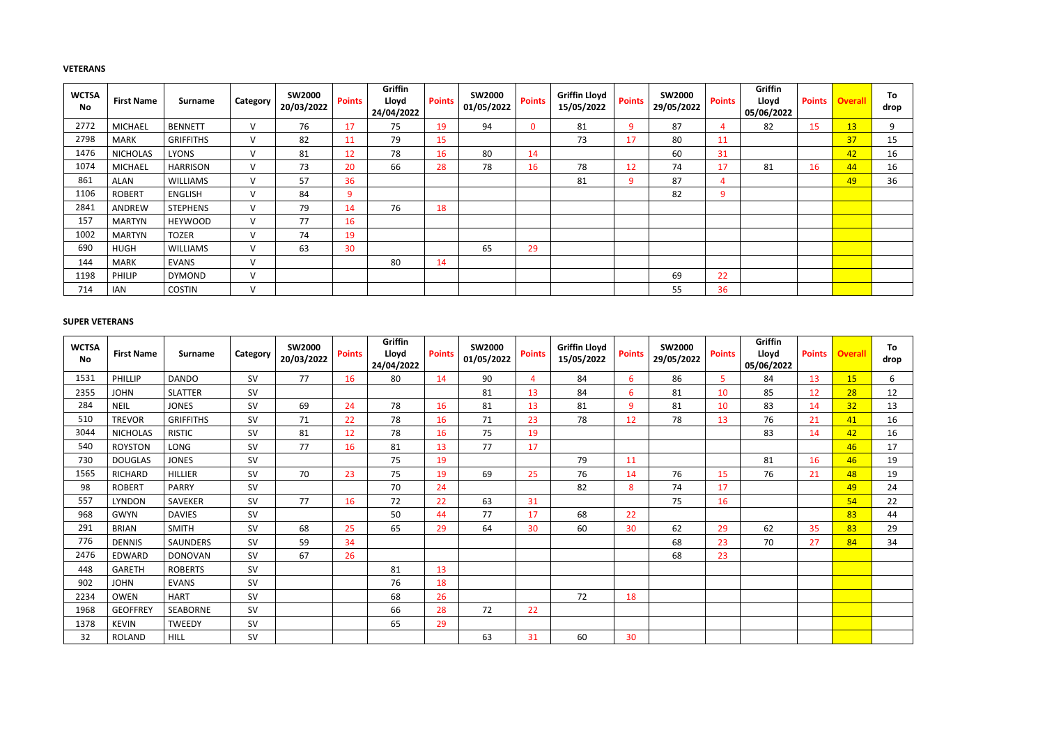# **VETERANS**

| <b>WCTSA</b><br><b>No</b> | <b>First Name</b> | <b>Surname</b>   | Category      | <b>SW2000</b><br>20/03/2022 | <b>Points</b> | Griffin<br>Lloyd<br>24/04/2022 | <b>Points</b> | <b>SW2000</b><br>01/05/2022 | <b>Points</b> | <b>Griffin Lloyd</b><br>15/05/2022 | <b>Points</b> | <b>SW2000</b><br>29/05/2022 | <b>Points</b> | Griffin<br>Lloyd<br>05/06/2022 | <b>Points</b> | <b>Overall</b> | To<br>drop |
|---------------------------|-------------------|------------------|---------------|-----------------------------|---------------|--------------------------------|---------------|-----------------------------|---------------|------------------------------------|---------------|-----------------------------|---------------|--------------------------------|---------------|----------------|------------|
| 2772                      | <b>MICHAEL</b>    | <b>BENNETT</b>   | $\mathsf{V}$  | 76                          | 17            | 75                             | 19            | 94                          | $\Omega$      | 81                                 | 9             | 87                          |               | 82                             | 15            | 13             | 9          |
| 2798                      | <b>MARK</b>       | <b>GRIFFITHS</b> | $\mathsf{V}$  | 82                          | 11            | 79                             | 15            |                             |               | 73                                 | 17            | 80                          | 11            |                                |               | 37             | 15         |
| 1476                      | <b>NICHOLAS</b>   | <b>LYONS</b>     | $\mathsf{V}$  | 81                          | 12            | 78                             | 16            | 80                          | 14            |                                    |               | 60                          | 31            |                                |               | 42             | 16         |
| 1074                      | <b>MICHAEL</b>    | <b>HARRISON</b>  | $\vee$        | 73                          | 20            | 66                             | 28            | 78                          | 16            | 78                                 | 12            | 74                          | 17            | 81                             | 16            | 44             | 16         |
| 861                       | ALAN              | <b>WILLIAMS</b>  | $\mathsf{V}$  | 57                          | 36            |                                |               |                             |               | 81                                 | 9             | 87                          | 4             |                                |               | 49             | 36         |
| 1106                      | <b>ROBERT</b>     | <b>ENGLISH</b>   | $\vee$        | 84                          | 9             |                                |               |                             |               |                                    |               | 82                          | 9             |                                |               |                |            |
| 2841                      | ANDREW            | <b>STEPHENS</b>  | $\vee$        | 79                          | 14            | 76                             | 18            |                             |               |                                    |               |                             |               |                                |               |                |            |
| 157                       | <b>MARTYN</b>     | <b>HEYWOOD</b>   | $\mathsf{V}$  | 77                          | 16            |                                |               |                             |               |                                    |               |                             |               |                                |               |                |            |
| 1002                      | <b>MARTYN</b>     | <b>TOZER</b>     | $\mathsf{V}$  | 74                          | 19            |                                |               |                             |               |                                    |               |                             |               |                                |               |                |            |
| 690                       | <b>HUGH</b>       | <b>WILLIAMS</b>  | $\mathcal{U}$ | 63                          | 30            |                                |               | 65                          | 29            |                                    |               |                             |               |                                |               |                |            |
| 144                       | <b>MARK</b>       | <b>EVANS</b>     | $\mathsf{V}$  |                             |               | 80                             | 14            |                             |               |                                    |               |                             |               |                                |               |                |            |
| 1198                      | <b>PHILIP</b>     | <b>DYMOND</b>    | $\vee$        |                             |               |                                |               |                             |               |                                    |               | 69                          | 22            |                                |               |                |            |
| 714                       | <b>IAN</b>        | <b>COSTIN</b>    | $\vee$        |                             |               |                                |               |                             |               |                                    |               | 55                          | 36            |                                |               |                |            |

#### **SUPER VETERANS**

| <b>WCTSA</b><br><b>No</b> | <b>First Name</b> | <b>Surname</b>   | Category  | <b>SW2000</b><br>20/03/2022 | <b>Points</b> | Griffin<br>Lloyd<br>24/04/2022 | <b>Points</b> | <b>SW2000</b><br>01/05/2022 | <b>Points</b>  | <b>Griffin Lloyd</b><br>15/05/2022 | <b>Points</b>   | <b>SW2000</b><br>29/05/2022 | <b>Points</b>  | <b>Griffin</b><br>Lloyd<br>05/06/2022 | <b>Points</b> | <b>Overall</b> | To<br>drop |
|---------------------------|-------------------|------------------|-----------|-----------------------------|---------------|--------------------------------|---------------|-----------------------------|----------------|------------------------------------|-----------------|-----------------------------|----------------|---------------------------------------|---------------|----------------|------------|
| 1531                      | PHILLIP           | <b>DANDO</b>     | <b>SV</b> | 77                          | 16            | 80                             | 14            | 90                          | $\overline{4}$ | 84                                 | 6               | 86                          | 5 <sup>5</sup> | 84                                    | 13            | <b>15</b>      | 6          |
| 2355                      | <b>JOHN</b>       | <b>SLATTER</b>   | <b>SV</b> |                             |               |                                |               | 81                          | 13             | 84                                 | $6\phantom{1}6$ | 81                          | 10             | 85                                    | 12            | 28             | 12         |
| 284                       | <b>NEIL</b>       | <b>JONES</b>     | <b>SV</b> | 69                          | 24            | 78                             | 16            | 81                          | 13             | 81                                 | 9               | 81                          | 10             | 83                                    | 14            | 32             | 13         |
| 510                       | <b>TREVOR</b>     | <b>GRIFFITHS</b> | <b>SV</b> | 71                          | 22            | 78                             | 16            | 71                          | 23             | 78                                 | 12              | 78                          | 13             | 76                                    | 21            | 41             | 16         |
| 3044                      | <b>NICHOLAS</b>   | <b>RISTIC</b>    | <b>SV</b> | 81                          | 12            | 78                             | 16            | 75                          | 19             |                                    |                 |                             |                | 83                                    | 14            | 42             | 16         |
| 540                       | <b>ROYSTON</b>    | LONG             | <b>SV</b> | 77                          | 16            | 81                             | 13            | 77                          | 17             |                                    |                 |                             |                |                                       |               | 46             | 17         |
| 730                       | <b>DOUGLAS</b>    | <b>JONES</b>     | <b>SV</b> |                             |               | 75                             | 19            |                             |                | 79                                 | 11              |                             |                | 81                                    | 16            | 46             | 19         |
| 1565                      | RICHARD           | <b>HILLIER</b>   | <b>SV</b> | 70                          | 23            | 75                             | 19            | 69                          | 25             | 76                                 | 14              | 76                          | 15             | 76                                    | 21            | 48             | 19         |
| 98                        | <b>ROBERT</b>     | <b>PARRY</b>     | <b>SV</b> |                             |               | 70                             | 24            |                             |                | 82                                 | 8               | 74                          | 17             |                                       |               | 49             | 24         |
| 557                       | <b>LYNDON</b>     | SAVEKER          | <b>SV</b> | 77                          | 16            | 72                             | 22            | 63                          | 31             |                                    |                 | 75                          | 16             |                                       |               | 54             | 22         |
| 968                       | <b>GWYN</b>       | <b>DAVIES</b>    | <b>SV</b> |                             |               | 50                             | 44            | 77                          | 17             | 68                                 | 22              |                             |                |                                       |               | 83             | 44         |
| 291                       | <b>BRIAN</b>      | <b>SMITH</b>     | <b>SV</b> | 68                          | 25            | 65                             | 29            | 64                          | 30             | 60                                 | 30              | 62                          | 29             | 62                                    | 35            | 83             | 29         |
| 776                       | <b>DENNIS</b>     | SAUNDERS         | <b>SV</b> | 59                          | 34            |                                |               |                             |                |                                    |                 | 68                          | 23             | 70                                    | 27            | 84             | 34         |
| 2476                      | EDWARD            | <b>DONOVAN</b>   | <b>SV</b> | 67                          | 26            |                                |               |                             |                |                                    |                 | 68                          | 23             |                                       |               |                |            |
| 448                       | <b>GARETH</b>     | <b>ROBERTS</b>   | <b>SV</b> |                             |               | 81                             | 13            |                             |                |                                    |                 |                             |                |                                       |               |                |            |
| 902                       | <b>JOHN</b>       | <b>EVANS</b>     | <b>SV</b> |                             |               | 76                             | 18            |                             |                |                                    |                 |                             |                |                                       |               |                |            |
| 2234                      | <b>OWEN</b>       | <b>HART</b>      | <b>SV</b> |                             |               | 68                             | 26            |                             |                | 72                                 | 18              |                             |                |                                       |               |                |            |
| 1968                      | <b>GEOFFREY</b>   | <b>SEABORNE</b>  | <b>SV</b> |                             |               | 66                             | 28            | 72                          | 22             |                                    |                 |                             |                |                                       |               |                |            |
| 1378                      | <b>KEVIN</b>      | <b>TWEEDY</b>    | <b>SV</b> |                             |               | 65                             | 29            |                             |                |                                    |                 |                             |                |                                       |               |                |            |
| 32                        | <b>ROLAND</b>     | <b>HILL</b>      | <b>SV</b> |                             |               |                                |               | 63                          | 31             | 60                                 | 30              |                             |                |                                       |               |                |            |